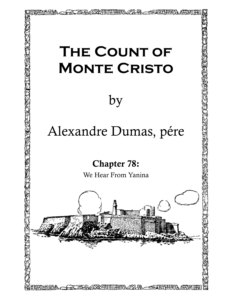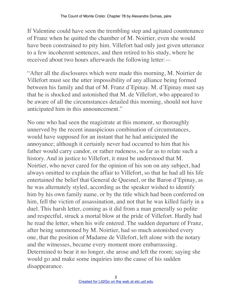If Valentine could have seen the trembling step and agitated countenance of Franz when he quitted the chamber of M. Noirtier, even she would have been constrained to pity him. Villefort had only just given utterance to a few incoherent sentences, and then retired to his study, where he received about two hours afterwards the following letter:—

"After all the disclosures which were made this morning, M. Noirtier de Villefort must see the utter impossibility of any alliance being formed between his family and that of M. Franz d'Epinay. M. d'Epinay must say that he is shocked and astonished that M. de Villefort, who appeared to be aware of all the circumstances detailed this morning, should not have anticipated him in this announcement."

No one who had seen the magistrate at this moment, so thoroughly unnerved by the recent inauspicious combination of circumstances, would have supposed for an instant that he had anticipated the annoyance; although it certainly never had occurred to him that his father would carry candor, or rather rudeness, so far as to relate such a history. And in justice to Villefort, it must be understood that M. Noirtier, who never cared for the opinion of his son on any subject, had always omitted to explain the affair to Villefort, so that he had all his life entertained the belief that General de Quesnel, or the Baron d'Epinay, as he was alternately styled, according as the speaker wished to identify him by his own family name, or by the title which had been conferred on him, fell the victim of assassination, and not that he was killed fairly in a duel. This harsh letter, coming as it did from a man generally so polite and respectful, struck a mortal blow at the pride of Villefort. Hardly had he read the letter, when his wife entered. The sudden departure of Franz, after being summoned by M. Noirtier, had so much astonished every one, that the position of Madame de Villefort, left alone with the notary and the witnesses, became every moment more embarrassing. Determined to bear it no longer, she arose and left the room; saying she would go and make some inquiries into the cause of his sudden disappearance.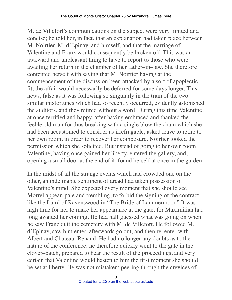M. de Villefort's communications on the subject were very limited and concise; he told her, in fact, that an explanation had taken place between M. Noirtier, M. d'Epinay, and himself, and that the marriage of Valentine and Franz would consequently be broken off. This was an awkward and unpleasant thing to have to report to those who were awaiting her return in the chamber of her father–in–law. She therefore contented herself with saying that M. Noirtier having at the commencement of the discussion been attacked by a sort of apoplectic fit, the affair would necessarily be deferred for some days longer. This news, false as it was following so singularly in the train of the two similar misfortunes which had so recently occurred, evidently astonished the auditors, and they retired without a word. During this time Valentine, at once terrified and happy, after having embraced and thanked the feeble old man for thus breaking with a single blow the chain which she had been accustomed to consider as irrefragable, asked leave to retire to her own room, in order to recover her composure. Noirtier looked the permission which she solicited. But instead of going to her own room, Valentine, having once gained her liberty, entered the gallery, and, opening a small door at the end of it, found herself at once in the garden.

In the midst of all the strange events which had crowded one on the other, an indefinable sentiment of dread had taken possession of Valentine's mind. She expected every moment that she should see Morrel appear, pale and trembling, to forbid the signing of the contract, like the Laird of Ravenswood in "The Bride of Lammermoor." It was high time for her to make her appearance at the gate, for Maximilian had long awaited her coming. He had half guessed what was going on when he saw Franz quit the cemetery with M. de Villefort. He followed M. d'Epinay, saw him enter, afterwards go out, and then re–enter with Albert and Chateau–Renaud. He had no longer any doubts as to the nature of the conference; he therefore quickly went to the gate in the clover–patch, prepared to hear the result of the proceedings, and very certain that Valentine would hasten to him the first moment she should be set at liberty. He was not mistaken; peering through the crevices of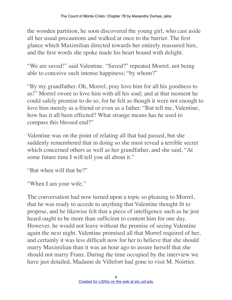the wooden partition, he soon discovered the young girl, who cast aside all her usual precautions and walked at once to the barrier. The first glance which Maximilian directed towards her entirely reassured him, and the first words she spoke made his heart bound with delight.

"We are saved!" said Valentine. "Saved?" repeated Morrel, not being able to conceive such intense happiness; "by whom?"

"By my grandfather. Oh, Morrel, pray love him for all his goodness to us!" Morrel swore to love him with all his soul; and at that moment he could safely promise to do so, for he felt as though it were not enough to love him merely as a friend or even as a father. "But tell me, Valentine, how has it all been effected? What strange means has he used to compass this blessed end?"

Valentine was on the point of relating all that had passed, but she suddenly remembered that in doing so she must reveal a terrible secret which concerned others as well as her grandfather, and she said, "At some future time I will tell you all about it."

"But when will that be?"

"When I am your wife."

The conversation had now turned upon a topic so pleasing to Morrel, that he was ready to accede to anything that Valentine thought fit to propose, and he likewise felt that a piece of intelligence such as he just heard ought to be more than sufficient to content him for one day. However, he would not leave without the promise of seeing Valentine again the next night. Valentine promised all that Morrel required of her, and certainly it was less difficult now for her to believe that she should marry Maximilian than it was an hour ago to assure herself that she should not marry Franz. During the time occupied by the interview we have just detailed, Madame de Villefort had gone to visit M. Noirtier.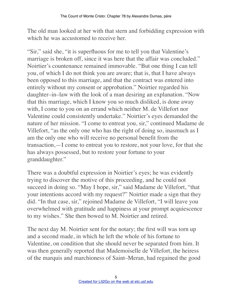The old man looked at her with that stern and forbidding expression with which he was accustomed to receive her.

"Sir," said she, "it is superfluous for me to tell you that Valentine's marriage is broken off, since it was here that the affair was concluded." Noirtier's countenance remained immovable. "But one thing I can tell you, of which I do not think you are aware; that is, that I have always been opposed to this marriage, and that the contract was entered into entirely without my consent or approbation." Noirtier regarded his daughter–in–law with the look of a man desiring an explanation. "Now that this marriage, which I know you so much disliked, is done away with, I come to you on an errand which neither M. de Villefort nor Valentine could consistently undertake." Noirtier's eyes demanded the nature of her mission. "I come to entreat you, sir," continued Madame de Villefort, "as the only one who has the right of doing so, inasmuch as I am the only one who will receive no personal benefit from the transaction,—I come to entreat you to restore, not your love, for that she has always possessed, but to restore your fortune to your granddaughter."

There was a doubtful expression in Noirtier's eyes; he was evidently trying to discover the motive of this proceeding, and he could not succeed in doing so. "May I hope, sir," said Madame de Villefort, "that your intentions accord with my request?" Noirtier made a sign that they did. "In that case, sir," rejoined Madame de Villefort, "I will leave you overwhelmed with gratitude and happiness at your prompt acquiescence to my wishes." She then bowed to M. Noirtier and retired.

The next day M. Noirtier sent for the notary; the first will was torn up and a second made, in which he left the whole of his fortune to Valentine, on condition that she should never be separated from him. It was then generally reported that Mademoiselle de Villefort, the heiress of the marquis and marchioness of Saint–Meran, had regained the good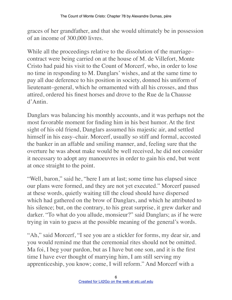graces of her grandfather, and that she would ultimately be in possession of an income of 300,000 livres.

While all the proceedings relative to the dissolution of the marriage– contract were being carried on at the house of M. de Villefort, Monte Cristo had paid his visit to the Count of Morcerf, who, in order to lose no time in responding to M. Danglars' wishes, and at the same time to pay all due deference to his position in society, donned his uniform of lieutenant–general, which he ornamented with all his crosses, and thus attired, ordered his finest horses and drove to the Rue de la Chausse d'Antin.

Danglars was balancing his monthly accounts, and it was perhaps not the most favorable moment for finding him in his best humor. At the first sight of his old friend, Danglars assumed his majestic air, and settled himself in his easy–chair. Morcerf, usually so stiff and formal, accosted the banker in an affable and smiling manner, and, feeling sure that the overture he was about make would be well received, he did not consider it necessary to adopt any manoeuvres in order to gain his end, but went at once straight to the point.

"Well, baron," said he, "here I am at last; some time has elapsed since our plans were formed, and they are not yet executed." Morcerf paused at these words, quietly waiting till the cloud should have dispersed which had gathered on the brow of Danglars, and which he attributed to his silence; but, on the contrary, to his great surprise, it grew darker and darker. "To what do you allude, monsieur?" said Danglars; as if he were trying in vain to guess at the possible meaning of the general's words.

"Ah," said Morcerf, "I see you are a stickler for forms, my dear sir, and you would remind me that the ceremonial rites should not be omitted. Ma foi, I beg your pardon, but as I have but one son, and it is the first time I have ever thought of marrying him, I am still serving my apprenticeship, you know; come, I will reform." And Morcerf with a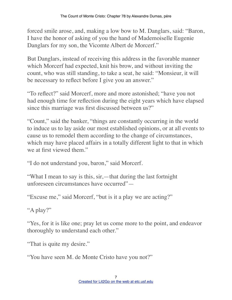forced smile arose, and, making a low bow to M. Danglars, said: "Baron, I have the honor of asking of you the hand of Mademoiselle Eugenie Danglars for my son, the Vicomte Albert de Morcerf."

But Danglars, instead of receiving this address in the favorable manner which Morcerf had expected, knit his brow, and without inviting the count, who was still standing, to take a seat, he said: "Monsieur, it will be necessary to reflect before I give you an answer."

"To reflect?" said Morcerf, more and more astonished; "have you not had enough time for reflection during the eight years which have elapsed since this marriage was first discussed between us?"

"Count," said the banker, "things are constantly occurring in the world to induce us to lay aside our most established opinions, or at all events to cause us to remodel them according to the change of circumstances, which may have placed affairs in a totally different light to that in which we at first viewed them."

"I do not understand you, baron," said Morcerf.

"What I mean to say is this, sir,—that during the last fortnight unforeseen circumstances have occurred"—

"Excuse me," said Morcerf, "but is it a play we are acting?"

"A play?"

"Yes, for it is like one; pray let us come more to the point, and endeavor thoroughly to understand each other."

"That is quite my desire."

"You have seen M. de Monte Cristo have you not?"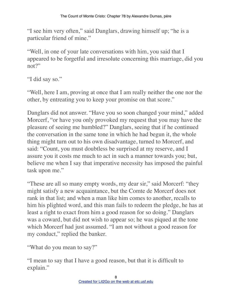"I see him very often," said Danglars, drawing himself up; "he is a particular friend of mine."

"Well, in one of your late conversations with him, you said that I appeared to be forgetful and irresolute concerning this marriage, did you not?"

"I did say so."

"Well, here I am, proving at once that I am really neither the one nor the other, by entreating you to keep your promise on that score."

Danglars did not answer. "Have you so soon changed your mind," added Morcerf, "or have you only provoked my request that you may have the pleasure of seeing me humbled?" Danglars, seeing that if he continued the conversation in the same tone in which he had begun it, the whole thing might turn out to his own disadvantage, turned to Morcerf, and said: "Count, you must doubtless be surprised at my reserve, and I assure you it costs me much to act in such a manner towards you; but, believe me when I say that imperative necessity has imposed the painful task upon me."

"These are all so many empty words, my dear sir," said Morcerf: "they might satisfy a new acquaintance, but the Comte de Morcerf does not rank in that list; and when a man like him comes to another, recalls to him his plighted word, and this man fails to redeem the pledge, he has at least a right to exact from him a good reason for so doing." Danglars was a coward, but did not wish to appear so; he was piqued at the tone which Morcerf had just assumed. "I am not without a good reason for my conduct," replied the banker.

"What do you mean to say?"

"I mean to say that I have a good reason, but that it is difficult to explain."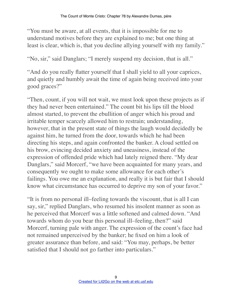"You must be aware, at all events, that it is impossible for me to understand motives before they are explained to me; but one thing at least is clear, which is, that you decline allying yourself with my family."

"No, sir," said Danglars; "I merely suspend my decision, that is all."

"And do you really flatter yourself that I shall yield to all your caprices, and quietly and humbly await the time of again being received into your good graces?"

"Then, count, if you will not wait, we must look upon these projects as if they had never been entertained." The count bit his lips till the blood almost started, to prevent the ebullition of anger which his proud and irritable temper scarcely allowed him to restrain; understanding, however, that in the present state of things the laugh would decidedly be against him, he turned from the door, towards which he had been directing his steps, and again confronted the banker. A cloud settled on his brow, evincing decided anxiety and uneasiness, instead of the expression of offended pride which had lately reigned there. "My dear Danglars," said Morcerf, "we have been acquainted for many years, and consequently we ought to make some allowance for each other's failings. You owe me an explanation, and really it is but fair that I should know what circumstance has occurred to deprive my son of your favor."

"It is from no personal ill–feeling towards the viscount, that is all I can say, sir," replied Danglars, who resumed his insolent manner as soon as he perceived that Morcerf was a little softened and calmed down. "And towards whom do you bear this personal ill–feeling, then?" said Morcerf, turning pale with anger. The expression of the count's face had not remained unperceived by the banker; he fixed on him a look of greater assurance than before, and said: "You may, perhaps, be better satisfied that I should not go farther into particulars."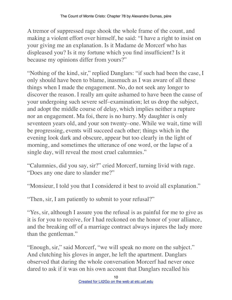A tremor of suppressed rage shook the whole frame of the count, and making a violent effort over himself, he said: "I have a right to insist on your giving me an explanation. Is it Madame de Morcerf who has displeased you? Is it my fortune which you find insufficient? Is it because my opinions differ from yours?"

"Nothing of the kind, sir," replied Danglars: "if such had been the case, I only should have been to blame, inasmuch as I was aware of all these things when I made the engagement. No, do not seek any longer to discover the reason. I really am quite ashamed to have been the cause of your undergoing such severe self–examination; let us drop the subject, and adopt the middle course of delay, which implies neither a rupture nor an engagement. Ma foi, there is no hurry. My daughter is only seventeen years old, and your son twenty–one. While we wait, time will be progressing, events will succeed each other; things which in the evening look dark and obscure, appear but too clearly in the light of morning, and sometimes the utterance of one word, or the lapse of a single day, will reveal the most cruel calumnies."

"Calumnies, did you say, sir?" cried Morcerf, turning livid with rage. "Does any one dare to slander me?"

"Monsieur, I told you that I considered it best to avoid all explanation."

"Then, sir, I am patiently to submit to your refusal?"

"Yes, sir, although I assure you the refusal is as painful for me to give as it is for you to receive, for I had reckoned on the honor of your alliance, and the breaking off of a marriage contract always injures the lady more than the gentleman."

"Enough, sir," said Morcerf, "we will speak no more on the subject." And clutching his gloves in anger, he left the apartment. Danglars observed that during the whole conversation Morcerf had never once dared to ask if it was on his own account that Danglars recalled his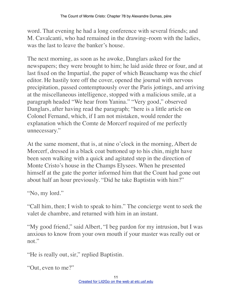word. That evening he had a long conference with several friends; and M. Cavalcanti, who had remained in the drawing–room with the ladies, was the last to leave the banker's house.

The next morning, as soon as he awoke, Danglars asked for the newspapers; they were brought to him; he laid aside three or four, and at last fixed on the Impartial, the paper of which Beauchamp was the chief editor. He hastily tore off the cover, opened the journal with nervous precipitation, passed contemptuously over the Paris jottings, and arriving at the miscellaneous intelligence, stopped with a malicious smile, at a paragraph headed "We hear from Yanina." "Very good," observed Danglars, after having read the paragraph; "here is a little article on Colonel Fernand, which, if I am not mistaken, would render the explanation which the Comte de Morcerf required of me perfectly unnecessary."

At the same moment, that is, at nine o'clock in the morning, Albert de Morcerf, dressed in a black coat buttoned up to his chin, might have been seen walking with a quick and agitated step in the direction of Monte Cristo's house in the Champs Elysees. When he presented himself at the gate the porter informed him that the Count had gone out about half an hour previously. "Did he take Baptistin with him?"

```
"No, my lord."
```
"Call him, then; I wish to speak to him." The concierge went to seek the valet de chambre, and returned with him in an instant.

"My good friend," said Albert, "I beg pardon for my intrusion, but I was anxious to know from your own mouth if your master was really out or not."

"He is really out, sir," replied Baptistin.

```
"Out, even to me?"
```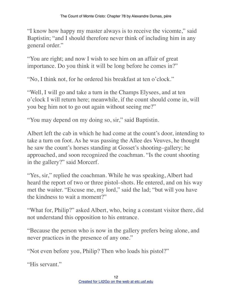"I know how happy my master always is to receive the vicomte," said Baptistin; "and I should therefore never think of including him in any general order."

"You are right; and now I wish to see him on an affair of great importance. Do you think it will be long before he comes in?"

"No, I think not, for he ordered his breakfast at ten o'clock."

"Well, I will go and take a turn in the Champs Elysees, and at ten o'clock I will return here; meanwhile, if the count should come in, will you beg him not to go out again without seeing me?"

"You may depend on my doing so, sir," said Baptistin.

Albert left the cab in which he had come at the count's door, intending to take a turn on foot. As he was passing the Allee des Veuves, he thought he saw the count's horses standing at Gosset's shooting–gallery; he approached, and soon recognized the coachman. "Is the count shooting in the gallery?" said Morcerf.

"Yes, sir," replied the coachman. While he was speaking, Albert had heard the report of two or three pistol–shots. He entered, and on his way met the waiter. "Excuse me, my lord," said the lad; "but will you have the kindness to wait a moment?"

"What for, Philip?" asked Albert, who, being a constant visitor there, did not understand this opposition to his entrance.

"Because the person who is now in the gallery prefers being alone, and never practices in the presence of any one."

"Not even before you, Philip? Then who loads his pistol?"

"His servant."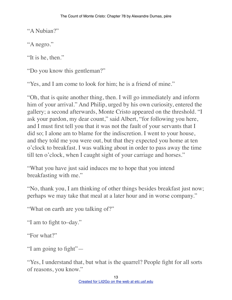"A Nubian?"

"A negro."

"It is he, then."

"Do you know this gentleman?"

"Yes, and I am come to look for him; he is a friend of mine."

"Oh, that is quite another thing, then. I will go immediately and inform him of your arrival." And Philip, urged by his own curiosity, entered the gallery; a second afterwards, Monte Cristo appeared on the threshold. "I ask your pardon, my dear count," said Albert, "for following you here, and I must first tell you that it was not the fault of your servants that I did so; I alone am to blame for the indiscretion. I went to your house, and they told me you were out, but that they expected you home at ten o'clock to breakfast. I was walking about in order to pass away the time till ten o'clock, when I caught sight of your carriage and horses."

"What you have just said induces me to hope that you intend breakfasting with me."

"No, thank you, I am thinking of other things besides breakfast just now; perhaps we may take that meal at a later hour and in worse company."

"What on earth are you talking of?"

"I am to fight to–day."

"For what?"

"I am going to fight"—

"Yes, I understand that, but what is the quarrel? People fight for all sorts of reasons, you know."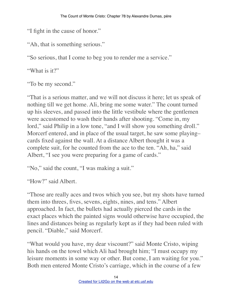"I fight in the cause of honor."

"Ah, that is something serious."

"So serious, that I come to beg you to render me a service."

"What is it?"

"To be my second."

"That is a serious matter, and we will not discuss it here; let us speak of nothing till we get home. Ali, bring me some water." The count turned up his sleeves, and passed into the little vestibule where the gentlemen were accustomed to wash their hands after shooting. "Come in, my lord," said Philip in a low tone, "and I will show you something droll." Morcerf entered, and in place of the usual target, he saw some playing– cards fixed against the wall. At a distance Albert thought it was a complete suit, for he counted from the ace to the ten. "Ah, ha," said Albert, "I see you were preparing for a game of cards."

"No," said the count, "I was making a suit."

"How?" said Albert.

"Those are really aces and twos which you see, but my shots have turned them into threes, fives, sevens, eights, nines, and tens." Albert approached. In fact, the bullets had actually pierced the cards in the exact places which the painted signs would otherwise have occupied, the lines and distances being as regularly kept as if they had been ruled with pencil. "Diable," said Morcerf.

"What would you have, my dear viscount?" said Monte Cristo, wiping his hands on the towel which Ali had brought him; "I must occupy my leisure moments in some way or other. But come, I am waiting for you." Both men entered Monte Cristo's carriage, which in the course of a few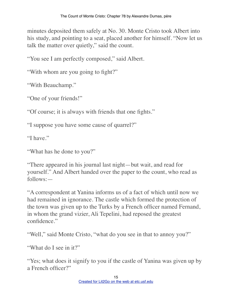minutes deposited them safely at No. 30. Monte Cristo took Albert into his study, and pointing to a seat, placed another for himself. "Now let us talk the matter over quietly," said the count.

"You see I am perfectly composed," said Albert.

"With whom are you going to fight?"

"With Beauchamp."

"One of your friends!"

"Of course; it is always with friends that one fights."

"I suppose you have some cause of quarrel?"

"I have"

"What has he done to you?"

"There appeared in his journal last night—but wait, and read for yourself." And Albert handed over the paper to the count, who read as follows:—

"A correspondent at Yanina informs us of a fact of which until now we had remained in ignorance. The castle which formed the protection of the town was given up to the Turks by a French officer named Fernand, in whom the grand vizier, Ali Tepelini, had reposed the greatest confidence."

"Well," said Monte Cristo, "what do you see in that to annoy you?"

"What do I see in it?"

"Yes; what does it signify to you if the castle of Yanina was given up by a French officer?"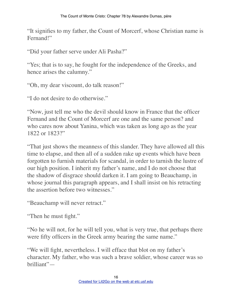"It signifies to my father, the Count of Morcerf, whose Christian name is Fernand!"

"Did your father serve under Ali Pasha?"

"Yes; that is to say, he fought for the independence of the Greeks, and hence arises the calumny."

"Oh, my dear viscount, do talk reason!"

"I do not desire to do otherwise."

"Now, just tell me who the devil should know in France that the officer Fernand and the Count of Morcerf are one and the same person? and who cares now about Yanina, which was taken as long ago as the year 1822 or 1823?"

"That just shows the meanness of this slander. They have allowed all this time to elapse, and then all of a sudden rake up events which have been forgotten to furnish materials for scandal, in order to tarnish the lustre of our high position. I inherit my father's name, and I do not choose that the shadow of disgrace should darken it. I am going to Beauchamp, in whose journal this paragraph appears, and I shall insist on his retracting the assertion before two witnesses."

"Beauchamp will never retract."

"Then he must fight."

"No he will not, for he will tell you, what is very true, that perhaps there were fifty officers in the Greek army bearing the same name."

"We will fight, nevertheless. I will efface that blot on my father's character. My father, who was such a brave soldier, whose career was so brilliant"—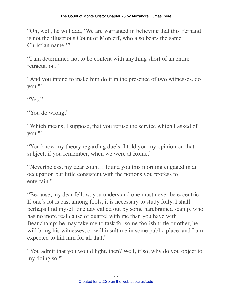"Oh, well, he will add, 'We are warranted in believing that this Fernand is not the illustrious Count of Morcerf, who also bears the same Christian name."

"I am determined not to be content with anything short of an entire retractation."

"And you intend to make him do it in the presence of two witnesses, do you?"

"Yes."

"You do wrong."

"Which means, I suppose, that you refuse the service which I asked of you?"

"You know my theory regarding duels; I told you my opinion on that subject, if you remember, when we were at Rome."

"Nevertheless, my dear count, I found you this morning engaged in an occupation but little consistent with the notions you profess to entertain."

"Because, my dear fellow, you understand one must never be eccentric. If one's lot is cast among fools, it is necessary to study folly. I shall perhaps find myself one day called out by some harebrained scamp, who has no more real cause of quarrel with me than you have with Beauchamp; he may take me to task for some foolish trifle or other, he will bring his witnesses, or will insult me in some public place, and I am expected to kill him for all that."

"You admit that you would fight, then? Well, if so, why do you object to my doing so?"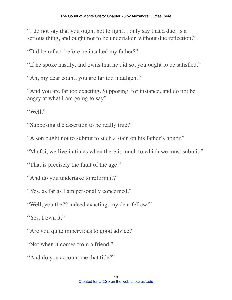"I do not say that you ought not to fight, I only say that a duel is a serious thing, and ought not to be undertaken without due reflection."

"Did he reflect before he insulted my father?"

"If he spoke hastily, and owns that he did so, you ought to be satisfied."

"Ah, my dear count, you are far too indulgent."

"And you are far too exacting. Supposing, for instance, and do not be angry at what I am going to say"—

"Well."

"Supposing the assertion to be really true?"

"A son ought not to submit to such a stain on his father's honor."

"Ma foi, we live in times when there is much to which we must submit."

"That is precisely the fault of the age."

"And do you undertake to reform it?"

"Yes, as far as I am personally concerned."

"Well, you the?? indeed exacting, my dear fellow!"

"Yes, I own it."

"Are you quite impervious to good advice?"

"Not when it comes from a friend."

"And do you account me that title?"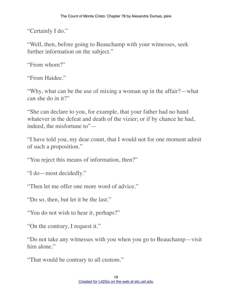"Certainly I do."

"Well, then, before going to Beauchamp with your witnesses, seek further information on the subject."

"From whom?"

"From Haidee."

"Why, what can be the use of mixing a woman up in the affair?—what can she do in it?"

"She can declare to you, for example, that your father had no hand whatever in the defeat and death of the vizier; or if by chance he had, indeed, the misfortune to"—

"I have told you, my dear count, that I would not for one moment admit of such a proposition."

"You reject this means of information, then?"

"I do—most decidedly."

"Then let me offer one more word of advice."

"Do so, then, but let it be the last."

"You do not wish to hear it, perhaps?"

"On the contrary, I request it."

"Do not take any witnesses with you when you go to Beauchamp—visit him alone."

"That would be contrary to all custom."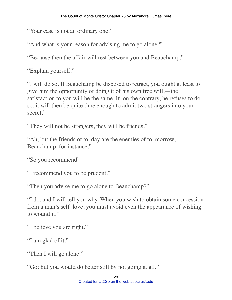"Your case is not an ordinary one."

"And what is your reason for advising me to go alone?"

"Because then the affair will rest between you and Beauchamp."

"Explain yourself."

"I will do so. If Beauchamp be disposed to retract, you ought at least to give him the opportunity of doing it of his own free will,—the satisfaction to you will be the same. If, on the contrary, he refuses to do so, it will then be quite time enough to admit two strangers into your secret."

"They will not be strangers, they will be friends."

"Ah, but the friends of to–day are the enemies of to–morrow; Beauchamp, for instance."

"So you recommend"—

"I recommend you to be prudent."

"Then you advise me to go alone to Beauchamp?"

"I do, and I will tell you why. When you wish to obtain some concession from a man's self–love, you must avoid even the appearance of wishing to wound it."

"I believe you are right."

"I am glad of it."

"Then I will go alone."

"Go; but you would do better still by not going at all."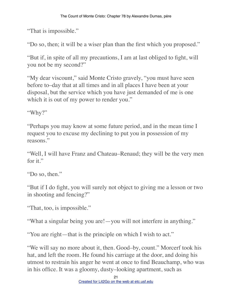"That is impossible."

"Do so, then; it will be a wiser plan than the first which you proposed."

"But if, in spite of all my precautions, I am at last obliged to fight, will you not be my second?"

"My dear viscount," said Monte Cristo gravely, "you must have seen before to–day that at all times and in all places I have been at your disposal, but the service which you have just demanded of me is one which it is out of my power to render you."

"Why?"

"Perhaps you may know at some future period, and in the mean time I request you to excuse my declining to put you in possession of my reasons."

"Well, I will have Franz and Chateau–Renaud; they will be the very men for it."

"Do so, then."

"But if I do fight, you will surely not object to giving me a lesson or two in shooting and fencing?"

"That, too, is impossible."

"What a singular being you are!—you will not interfere in anything."

"You are right—that is the principle on which I wish to act."

"We will say no more about it, then. Good–by, count." Morcerf took his hat, and left the room. He found his carriage at the door, and doing his utmost to restrain his anger he went at once to find Beauchamp, who was in his office. It was a gloomy, dusty–looking apartment, such as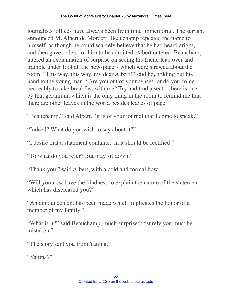journalists' offices have always been from time immemorial. The servant announced M. Albert de Morcerf. Beauchamp repeated the name to himself, as though he could scarcely believe that he had heard aright, and then gave orders for him to be admitted. Albert entered. Beauchamp uttered an exclamation of surprise on seeing his friend leap over and trample under foot all the newspapers which were strewed about the room. "This way, this way, my dear Albert!" said he, holding out his hand to the young man. "Are you out of your senses, or do you come peaceably to take breakfast with me? Try and find a seat—there is one by that geranium, which is the only thing in the room to remind me that there are other leaves in the world besides leaves of paper."

"Beauchamp," said Albert, "it is of your journal that I come to speak."

"Indeed? What do you wish to say about it?"

"I desire that a statement contained in it should be rectified."

"To what do you refer? But pray sit down."

"Thank you," said Albert, with a cold and formal bow.

"Will you now have the kindness to explain the nature of the statement which has displeased you?"

"An announcement has been made which implicates the honor of a member of my family."

"What is it?" said Beauchamp, much surprised; "surely you must be mistaken."

"The story sent you from Yanina."

"Yanina?"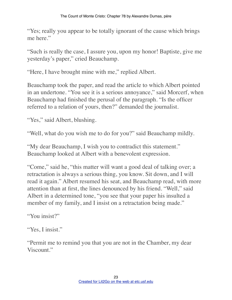"Yes; really you appear to be totally ignorant of the cause which brings me here."

"Such is really the case, I assure you, upon my honor! Baptiste, give me yesterday's paper," cried Beauchamp.

"Here, I have brought mine with me," replied Albert.

Beauchamp took the paper, and read the article to which Albert pointed in an undertone. "You see it is a serious annoyance," said Morcerf, when Beauchamp had finished the perusal of the paragraph. "Is the officer referred to a relation of yours, then?" demanded the journalist.

"Yes," said Albert, blushing.

"Well, what do you wish me to do for you?" said Beauchamp mildly.

"My dear Beauchamp, I wish you to contradict this statement." Beauchamp looked at Albert with a benevolent expression.

"Come," said he, "this matter will want a good deal of talking over; a retractation is always a serious thing, you know. Sit down, and I will read it again." Albert resumed his seat, and Beauchamp read, with more attention than at first, the lines denounced by his friend. "Well," said Albert in a determined tone, "you see that your paper his insulted a member of my family, and I insist on a retractation being made."

"You insist?"

"Yes, I insist."

"Permit me to remind you that you are not in the Chamber, my dear Viscount."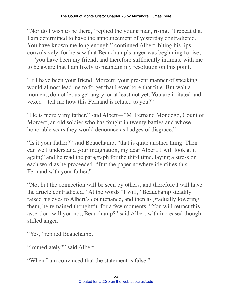"Nor do I wish to be there," replied the young man, rising. "I repeat that I am determined to have the announcement of yesterday contradicted. You have known me long enough," continued Albert, biting his lips convulsively, for he saw that Beauchamp's anger was beginning to rise, —"you have been my friend, and therefore sufficiently intimate with me to be aware that I am likely to maintain my resolution on this point."

"If I have been your friend, Morcerf, your present manner of speaking would almost lead me to forget that I ever bore that title. But wait a moment, do not let us get angry, or at least not yet. You are irritated and vexed—tell me how this Fernand is related to you?"

"He is merely my father," said Albert—"M. Fernand Mondego, Count of Morcerf, an old soldier who has fought in twenty battles and whose honorable scars they would denounce as badges of disgrace."

"Is it your father?" said Beauchamp; "that is quite another thing. Then can well understand your indignation, my dear Albert. I will look at it again;" and he read the paragraph for the third time, laying a stress on each word as he proceeded. "But the paper nowhere identifies this Fernand with your father."

"No; but the connection will be seen by others, and therefore I will have the article contradicted." At the words "I will," Beauchamp steadily raised his eyes to Albert's countenance, and then as gradually lowering them, he remained thoughtful for a few moments. "You will retract this assertion, will you not, Beauchamp?" said Albert with increased though stifled anger.

"Yes," replied Beauchamp.

"Immediately?" said Albert.

"When I am convinced that the statement is false."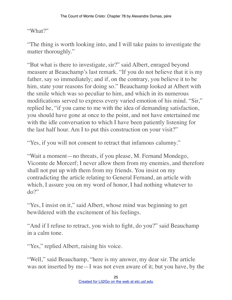"What?"

"The thing is worth looking into, and I will take pains to investigate the matter thoroughly."

"But what is there to investigate, sir?" said Albert, enraged beyond measure at Beauchamp's last remark. "If you do not believe that it is my father, say so immediately; and if, on the contrary, you believe it to be him, state your reasons for doing so." Beauchamp looked at Albert with the smile which was so peculiar to him, and which in its numerous modifications served to express every varied emotion of his mind. "Sir," replied he, "if you came to me with the idea of demanding satisfaction, you should have gone at once to the point, and not have entertained me with the idle conversation to which I have been patiently listening for the last half hour. Am I to put this construction on your visit?"

"Yes, if you will not consent to retract that infamous calumny."

"Wait a moment—no threats, if you please, M. Fernand Mondego, Vicomte de Morcerf; I never allow them from my enemies, and therefore shall not put up with them from my friends. You insist on my contradicting the article relating to General Fernand, an article with which, I assure you on my word of honor, I had nothing whatever to do?"

"Yes, I insist on it," said Albert, whose mind was beginning to get bewildered with the excitement of his feelings.

"And if I refuse to retract, you wish to fight, do you?" said Beauchamp in a calm tone.

"Yes," replied Albert, raising his voice.

"Well," said Beauchamp, "here is my answer, my dear sir. The article was not inserted by me—I was not even aware of it; but you have, by the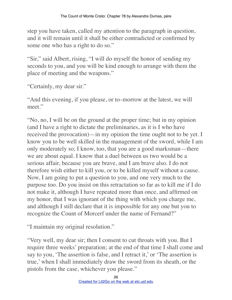step you have taken, called my attention to the paragraph in question, and it will remain until it shall be either contradicted or confirmed by some one who has a right to do so."

"Sir," said Albert, rising, "I will do myself the honor of sending my seconds to you, and you will be kind enough to arrange with them the place of meeting and the weapons."

"Certainly, my dear sir."

"And this evening, if you please, or to–morrow at the latest, we will meet."

"No, no, I will be on the ground at the proper time; but in my opinion (and I have a right to dictate the preliminaries, as it is I who have received the provocation)—in my opinion the time ought not to be yet. I know you to be well skilled in the management of the sword, while I am only moderately so; I know, too, that you are a good marksman—there we are about equal. I know that a duel between us two would be a serious affair, because you are brave, and I am brave also. I do not therefore wish either to kill you, or to be killed myself without a cause. Now, I am going to put a question to you, and one very much to the purpose too. Do you insist on this retractation so far as to kill me if I do not make it, although I have repeated more than once, and affirmed on my honor, that I was ignorant of the thing with which you charge me, and although I still declare that it is impossible for any one but you to recognize the Count of Morcerf under the name of Fernand?"

"I maintain my original resolution."

"Very well, my dear sir; then I consent to cut throats with you. But I require three weeks' preparation; at the end of that time I shall come and say to you, 'The assertion is false, and I retract it,' or 'The assertion is true,' when I shall immediately draw the sword from its sheath, or the pistols from the case, whichever you please."